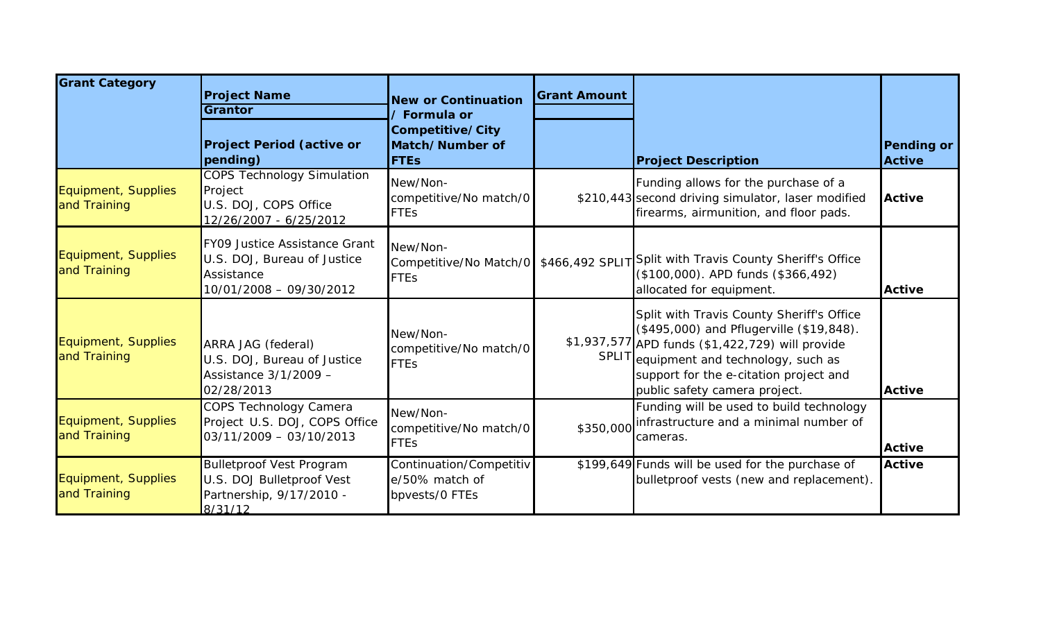| <b>Grant Category</b>               | <b>Project Name</b><br>Grantor                                                                        | <b>New or Continuation</b><br>' Formula or                  | <b>Grant Amount</b> |                                                                                                                                                                                                                                                                 |                                    |
|-------------------------------------|-------------------------------------------------------------------------------------------------------|-------------------------------------------------------------|---------------------|-----------------------------------------------------------------------------------------------------------------------------------------------------------------------------------------------------------------------------------------------------------------|------------------------------------|
|                                     | <b>Project Period (active or</b><br>pending)                                                          | Competitive/City<br>Match/Number of<br><b>FTEs</b>          |                     | <b>Project Description</b>                                                                                                                                                                                                                                      | <b>Pending or</b><br><b>Active</b> |
| Equipment, Supplies<br>and Training | <b>COPS Technology Simulation</b><br>Project<br>U.S. DOJ, COPS Office<br>12/26/2007 - 6/25/2012       | New/Non-<br>competitive/No match/0<br><b>FTEs</b>           |                     | Funding allows for the purchase of a<br>\$210,443 second driving simulator, laser modified<br>firearms, airmunition, and floor pads.                                                                                                                            | <b>Active</b>                      |
| Equipment, Supplies<br>and Training | FY09 Justice Assistance Grant<br>U.S. DOJ, Bureau of Justice<br>Assistance<br>10/01/2008 - 09/30/2012 | New/Non-<br><b>FTEs</b>                                     |                     | Competitive/No Match/0   \$466,492 SPLIT Split with Travis County Sheriff's Office<br>(\$100,000). APD funds (\$366,492)<br>allocated for equipment.                                                                                                            | <b>Active</b>                      |
| Equipment, Supplies<br>and Training | ARRA JAG (federal)<br>U.S. DOJ, Bureau of Justice<br>Assistance 3/1/2009 -<br>02/28/2013              | New/Non-<br>competitive/No match/0<br><b>FTEs</b>           |                     | Split with Travis County Sheriff's Office<br>(\$495,000) and Pflugerville (\$19,848).<br>\$1,937,577 APD funds (\$1,422,729) will provide<br>SPLIT equipment and technology, such as<br>support for the e-citation project and<br>public safety camera project. | <b>Active</b>                      |
| Equipment, Supplies<br>and Training | COPS Technology Camera<br>Project U.S. DOJ, COPS Office<br>$03/11/2009 - 03/10/2013$                  | New/Non-<br>competitive/No match/0<br><b>FTEs</b>           | \$350,000           | Funding will be used to build technology<br>infrastructure and a minimal number of<br>cameras.                                                                                                                                                                  | <b>Active</b>                      |
| Equipment, Supplies<br>and Training | <b>Bulletproof Vest Program</b><br>U.S. DOJ Bulletproof Vest<br>Partnership, 9/17/2010 -<br>8/31/12   | Continuation/Competitiv<br>e/50% match of<br>bpvests/0 FTEs |                     | \$199,649 Funds will be used for the purchase of<br>bulletproof vests (new and replacement).                                                                                                                                                                    | <b>Active</b>                      |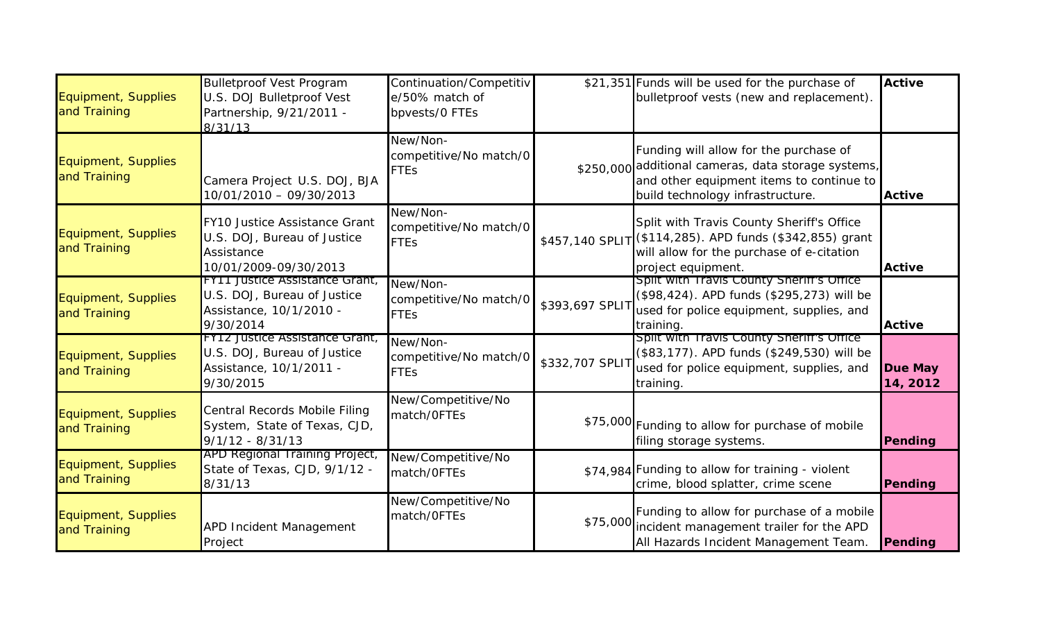| Equipment, Supplies<br>and Training | <b>Bulletproof Vest Program</b><br>U.S. DOJ Bulletproof Vest<br>Partnership, 9/21/2011 -<br>8/31/13          | Continuation/Competitiv<br>e/50% match of<br>bpvests/0 FTEs |                 | \$21,351 Funds will be used for the purchase of<br>bulletproof vests (new and replacement).                                                                                   | <b>Active</b>              |
|-------------------------------------|--------------------------------------------------------------------------------------------------------------|-------------------------------------------------------------|-----------------|-------------------------------------------------------------------------------------------------------------------------------------------------------------------------------|----------------------------|
| Equipment, Supplies<br>and Training | Camera Project U.S. DOJ, BJA<br>10/01/2010 - 09/30/2013                                                      | New/Non-<br>competitive/No match/0<br><b>FTEs</b>           |                 | Funding will allow for the purchase of<br>\$250,000 additional cameras, data storage systems,<br>and other equipment items to continue to<br>build technology infrastructure. | <b>Active</b>              |
| Equipment, Supplies<br>and Training | FY10 Justice Assistance Grant<br>U.S. DOJ, Bureau of Justice<br>Assistance<br>10/01/2009-09/30/2013          | New/Non-<br>competitive/No match/0<br><b>FTEs</b>           |                 | Split with Travis County Sheriff's Office<br>\$457,140 SPLIT (\$114,285). APD funds (\$342,855) grant<br>will allow for the purchase of e-citation<br>project equipment.      | <b>Active</b>              |
| Equipment, Supplies<br>and Training | <b>FYTT Justice Assistance Grant,</b><br>U.S. DOJ, Bureau of Justice<br>Assistance, 10/1/2010 -<br>9/30/2014 | New/Non-<br>competitive/No match/0<br><b>FTEs</b>           | \$393,697 SPLIT | Split with Travis County Sheriff's Office<br>(\$98,424). APD funds (\$295,273) will be<br>used for police equipment, supplies, and<br>training.                               | <b>Active</b>              |
| Equipment, Supplies<br>and Training | <b>FY12 Justice Assistance Grant,</b><br>U.S. DOJ, Bureau of Justice<br>Assistance, 10/1/2011 -<br>9/30/2015 | New/Non-<br>competitive/No match/0<br><b>FTEs</b>           | \$332,707 SPLI1 | Split with Travis County Sheriff's Office<br>(\$83,177). APD funds (\$249,530) will be<br>used for police equipment, supplies, and<br>training.                               | <b>Due May</b><br>14, 2012 |
| Equipment, Supplies<br>and Training | Central Records Mobile Filing<br>System, State of Texas, CJD,<br>$9/1/12 - 8/31/13$                          | New/Competitive/No<br>match/OFTEs                           |                 | \$75,000 Funding to allow for purchase of mobile<br>filing storage systems.                                                                                                   | Pending                    |
| Equipment, Supplies<br>and Training | APD Regional Training Project,<br>State of Texas, CJD, 9/1/12 -<br>8/31/13                                   | New/Competitive/No<br>match/OFTEs                           |                 | \$74,984 Funding to allow for training - violent<br>crime, blood splatter, crime scene                                                                                        | Pending                    |
| Equipment, Supplies<br>and Training | <b>APD Incident Management</b><br>Project                                                                    | New/Competitive/No<br>match/OFTEs                           |                 | Funding to allow for purchase of a mobile<br>\$75,000 incident management trailer for the APD<br>All Hazards Incident Management Team.                                        | Pending                    |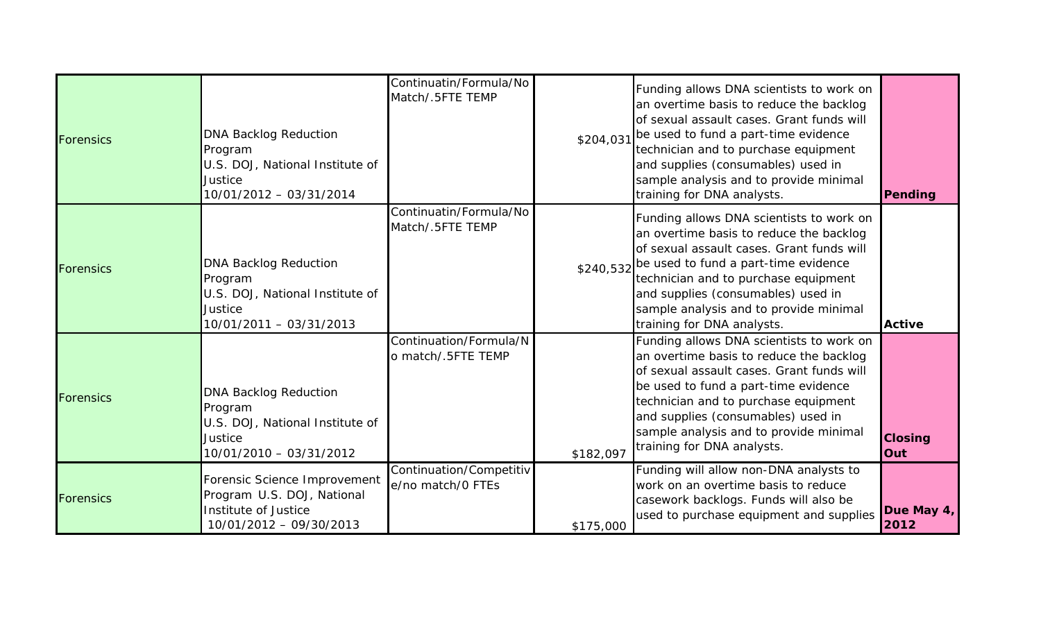| <b>Forensics</b> | <b>DNA Backlog Reduction</b><br>Program<br>U.S. DOJ, National Institute of<br>Justice<br>10/01/2012 - 03/31/2014 | Continuatin/Formula/No<br>Match/.5FTE TEMP   | \$204,031 | Funding allows DNA scientists to work on<br>an overtime basis to reduce the backlog<br>of sexual assault cases. Grant funds will<br>be used to fund a part-time evidence<br>technician and to purchase equipment<br>and supplies (consumables) used in<br>sample analysis and to provide minimal<br>training for DNA analysts.           | Pending               |
|------------------|------------------------------------------------------------------------------------------------------------------|----------------------------------------------|-----------|------------------------------------------------------------------------------------------------------------------------------------------------------------------------------------------------------------------------------------------------------------------------------------------------------------------------------------------|-----------------------|
| <b>Forensics</b> | <b>DNA Backlog Reduction</b><br>Program<br>U.S. DOJ, National Institute of<br>Justice<br>10/01/2011 - 03/31/2013 | Continuatin/Formula/No<br>Match/.5FTE TEMP   |           | Funding allows DNA scientists to work on<br>an overtime basis to reduce the backlog<br>of sexual assault cases. Grant funds will<br>\$240,532 be used to fund a part-time evidence<br>technician and to purchase equipment<br>and supplies (consumables) used in<br>sample analysis and to provide minimal<br>training for DNA analysts. | <b>Active</b>         |
| Forensics        | <b>DNA Backlog Reduction</b><br>Program<br>U.S. DOJ, National Institute of<br>Justice<br>10/01/2010 - 03/31/2012 | Continuation/Formula/N<br>o match/.5FTE TEMP | \$182,097 | Funding allows DNA scientists to work on<br>an overtime basis to reduce the backlog<br>of sexual assault cases. Grant funds will<br>be used to fund a part-time evidence<br>technician and to purchase equipment<br>and supplies (consumables) used in<br>sample analysis and to provide minimal<br>training for DNA analysts.           | <b>Closing</b><br>Out |
| Forensics        | Forensic Science Improvement<br>Program U.S. DOJ, National<br>Institute of Justice<br>10/01/2012 - 09/30/2013    | Continuation/Competitiv<br>e/no match/0 FTEs | \$175,000 | Funding will allow non-DNA analysts to<br>work on an overtime basis to reduce<br>casework backlogs. Funds will also be<br>used to purchase equipment and supplies                                                                                                                                                                        | Due May 4,<br>2012    |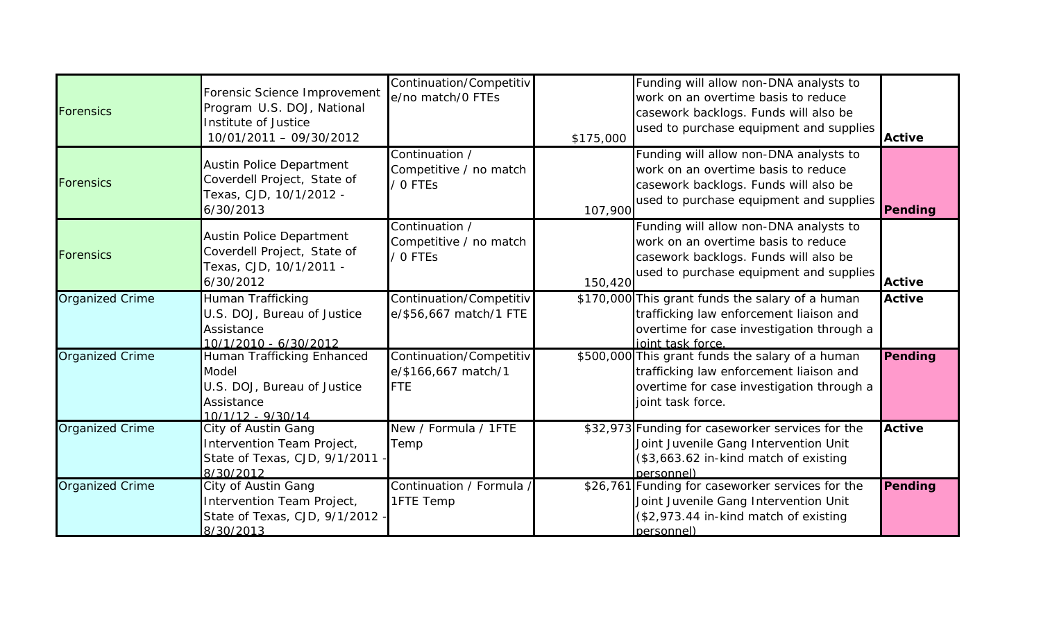| <b>Forensics</b>       | Forensic Science Improvement<br>Program U.S. DOJ, National<br>Institute of Justice<br>10/01/2011 - 09/30/2012  | Continuation/Competitiv<br>e/no match/0 FTEs                 | \$175,000 | Funding will allow non-DNA analysts to<br>work on an overtime basis to reduce<br>casework backlogs. Funds will also be<br>used to purchase equipment and supplies | <b>Active</b> |
|------------------------|----------------------------------------------------------------------------------------------------------------|--------------------------------------------------------------|-----------|-------------------------------------------------------------------------------------------------------------------------------------------------------------------|---------------|
| <b>Forensics</b>       | <b>Austin Police Department</b><br>Coverdell Project, State of<br>Texas, CJD, 10/1/2012 -<br>6/30/2013         | Continuation /<br>Competitive / no match<br>OFTES            | 107,900   | Funding will allow non-DNA analysts to<br>work on an overtime basis to reduce<br>casework backlogs. Funds will also be<br>used to purchase equipment and supplies | Pending       |
| <b>Forensics</b>       | <b>Austin Police Department</b><br>Coverdell Project, State of<br>Texas, CJD, 10/1/2011 -<br>6/30/2012         | Continuation /<br>Competitive / no match<br>O FTES           | 150,420   | Funding will allow non-DNA analysts to<br>work on an overtime basis to reduce<br>casework backlogs. Funds will also be<br>used to purchase equipment and supplies | <b>Active</b> |
| <b>Organized Crime</b> | Human Trafficking<br>U.S. DOJ, Bureau of Justice<br>Assistance<br>10/1/2010 - 6/30/2012                        | Continuation/Competitiv<br>e/\$56,667 match/1 FTE            |           | \$170,000 This grant funds the salary of a human<br>trafficking law enforcement liaison and<br>overtime for case investigation through a<br>ioint task force.     | <b>Active</b> |
| <b>Organized Crime</b> | Human Trafficking Enhanced<br><b>Model</b><br>U.S. DOJ, Bureau of Justice<br>Assistance<br>$10/1/12 - 9/30/14$ | Continuation/Competitiv<br>e/\$166,667 match/1<br><b>FTE</b> |           | \$500,000 This grant funds the salary of a human<br>trafficking law enforcement liaison and<br>overtime for case investigation through a<br>joint task force.     | Pending       |
| <b>Organized Crime</b> | City of Austin Gang<br>Intervention Team Project,<br>State of Texas, CJD, 9/1/2011<br>8/30/2012                | New / Formula / 1FTE<br>Temp                                 |           | \$32,973 Funding for caseworker services for the<br>Joint Juvenile Gang Intervention Unit<br>(\$3,663.62 in-kind match of existing<br>nersonnel)                  | <b>Active</b> |
| <b>Organized Crime</b> | City of Austin Gang<br>Intervention Team Project,<br>State of Texas, CJD, 9/1/2012<br>8/30/2013                | Continuation / Formula<br>1FTE Temp                          |           | \$26,761 Funding for caseworker services for the<br>Joint Juvenile Gang Intervention Unit<br>(\$2,973.44 in-kind match of existing<br>personnel)                  | Pending       |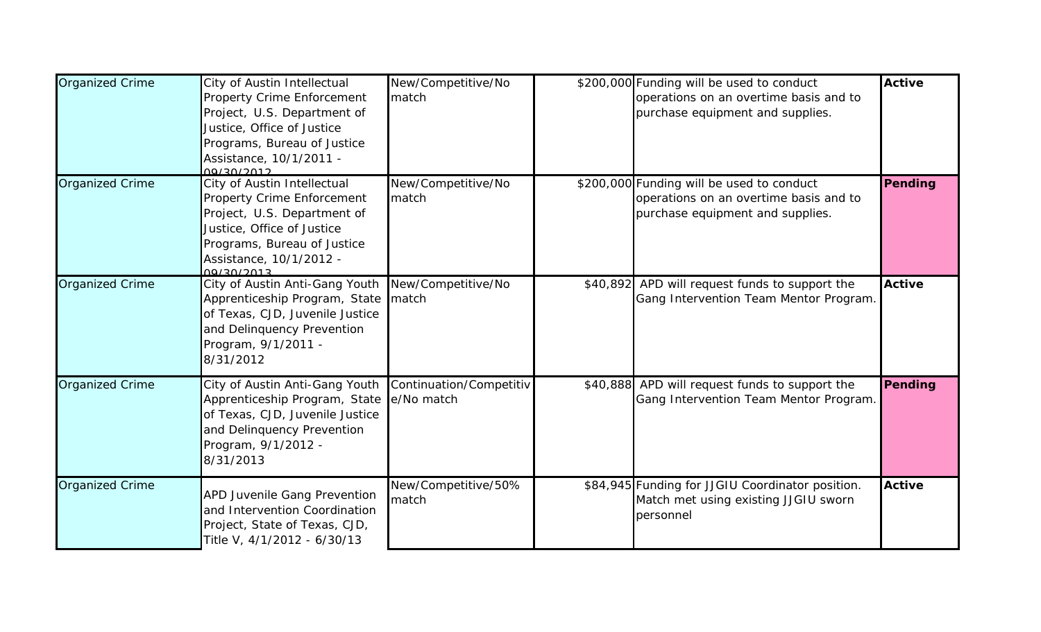| <b>Organized Crime</b> | City of Austin Intellectual<br><b>Property Crime Enforcement</b><br>Project, U.S. Department of<br>Justice, Office of Justice<br>Programs, Bureau of Justice<br>Assistance, 10/1/2011 -<br>00/20/2012        | New/Competitive/No<br>match           | \$200,000 Funding will be used to conduct<br>operations on an overtime basis and to<br>purchase equipment and supplies. | Active        |
|------------------------|--------------------------------------------------------------------------------------------------------------------------------------------------------------------------------------------------------------|---------------------------------------|-------------------------------------------------------------------------------------------------------------------------|---------------|
| <b>Organized Crime</b> | City of Austin Intellectual<br><b>Property Crime Enforcement</b><br>Project, U.S. Department of<br>Justice, Office of Justice<br>Programs, Bureau of Justice<br>Assistance, 10/1/2012 -<br><u>00/30/2013</u> | New/Competitive/No<br>match           | \$200,000 Funding will be used to conduct<br>operations on an overtime basis and to<br>purchase equipment and supplies. | Pending       |
| <b>Organized Crime</b> | City of Austin Anti-Gang Youth New/Competitive/No<br>Apprenticeship Program, State match<br>of Texas, CJD, Juvenile Justice<br>and Delinquency Prevention<br>Program, 9/1/2011 -<br>8/31/2012                |                                       | \$40,892 APD will request funds to support the<br>Gang Intervention Team Mentor Program.                                | <b>Active</b> |
| <b>Organized Crime</b> | City of Austin Anti-Gang Youth<br>Apprenticeship Program, State<br>of Texas, CJD, Juvenile Justice<br>and Delinquency Prevention<br>Program, 9/1/2012 -<br>8/31/2013                                         | Continuation/Competitiv<br>e/No match | \$40,888 APD will request funds to support the<br>Gang Intervention Team Mentor Program.                                | Pending       |
| <b>Organized Crime</b> | <b>APD Juvenile Gang Prevention</b><br>and Intervention Coordination<br>Project, State of Texas, CJD,<br>Title V, 4/1/2012 - 6/30/13                                                                         | New/Competitive/50%<br>match          | \$84,945 Funding for JJGIU Coordinator position.<br>Match met using existing JJGIU sworn<br>personnel                   | <b>Active</b> |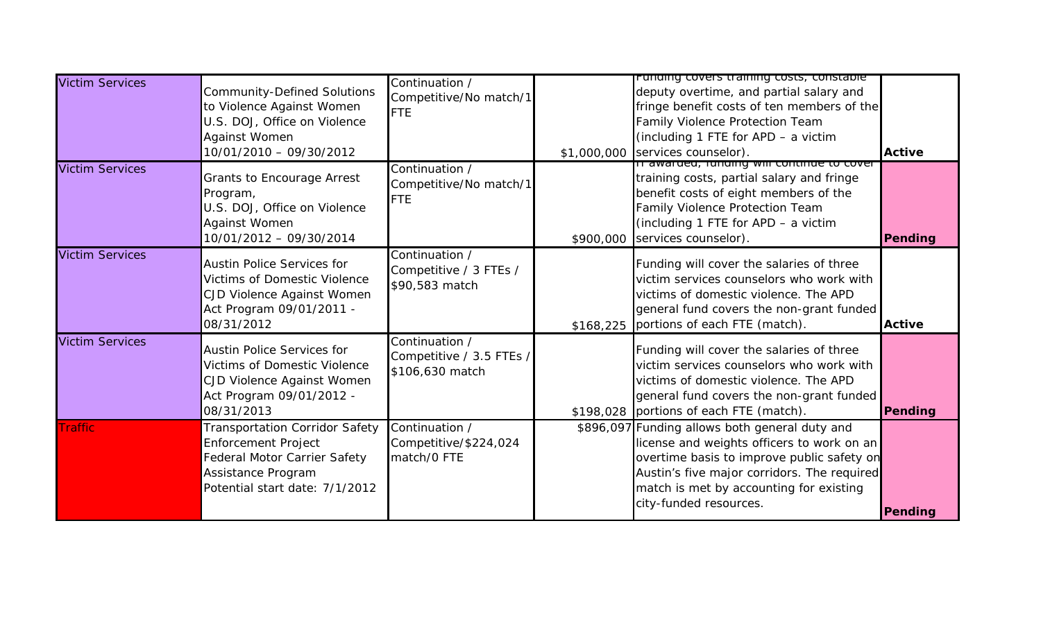| <b>Victim Services</b> | <b>Community-Defined Solutions</b><br>to Violence Against Women<br>U.S. DOJ, Office on Violence<br>Against Women<br>10/01/2010 - 09/30/2012          | Continuation /<br>Competitive/No match/1<br>FTE               | <u>runumy covers training costs, constable</u><br>deputy overtime, and partial salary and<br>fringe benefit costs of ten members of the<br>Family Violence Protection Team<br>(including 1 FTE for APD - a victim<br>\$1,000,000 services counselor).          | <b>Active</b> |
|------------------------|------------------------------------------------------------------------------------------------------------------------------------------------------|---------------------------------------------------------------|----------------------------------------------------------------------------------------------------------------------------------------------------------------------------------------------------------------------------------------------------------------|---------------|
| <b>Victim Services</b> | Grants to Encourage Arrest<br>Program,<br>U.S. DOJ, Office on Violence<br><b>Against Women</b><br>10/01/2012 - 09/30/2014                            | Continuation /<br>Competitive/No match/1<br>FTE               | It awarded, furiality will commute to cover<br>training costs, partial salary and fringe<br>benefit costs of eight members of the<br>Family Violence Protection Team<br>(including 1 FTE for APD - a victim<br>\$900,000 services counselor).                  | Pending       |
| <b>Victim Services</b> | <b>Austin Police Services for</b><br><b>Victims of Domestic Violence</b><br>CJD Violence Against Women<br>Act Program 09/01/2011 -<br>08/31/2012     | Continuation /<br>Competitive / 3 FTEs /<br>\$90,583 match    | Funding will cover the salaries of three<br>victim services counselors who work with<br>victims of domestic violence. The APD<br>general fund covers the non-grant funded<br>\$168,225 portions of each FTE (match).                                           | <b>Active</b> |
| <b>Victim Services</b> | <b>Austin Police Services for</b><br><b>Victims of Domestic Violence</b><br>CJD Violence Against Women<br>Act Program 09/01/2012 -<br>08/31/2013     | Continuation /<br>Competitive / 3.5 FTEs /<br>\$106,630 match | Funding will cover the salaries of three<br>victim services counselors who work with<br>victims of domestic violence. The APD<br>general fund covers the non-grant funded<br>\$198,028 portions of each FTE (match).                                           | Pending       |
| <b>Traffic</b>         | Transportation Corridor Safety<br><b>Enforcement Project</b><br>Federal Motor Carrier Safety<br>Assistance Program<br>Potential start date: 7/1/2012 | Continuation /<br>Competitive/\$224,024<br>match/0 FTE        | \$896,097 Funding allows both general duty and<br>license and weights officers to work on an<br>overtime basis to improve public safety on<br>Austin's five major corridors. The required<br>match is met by accounting for existing<br>city-funded resources. | Pending       |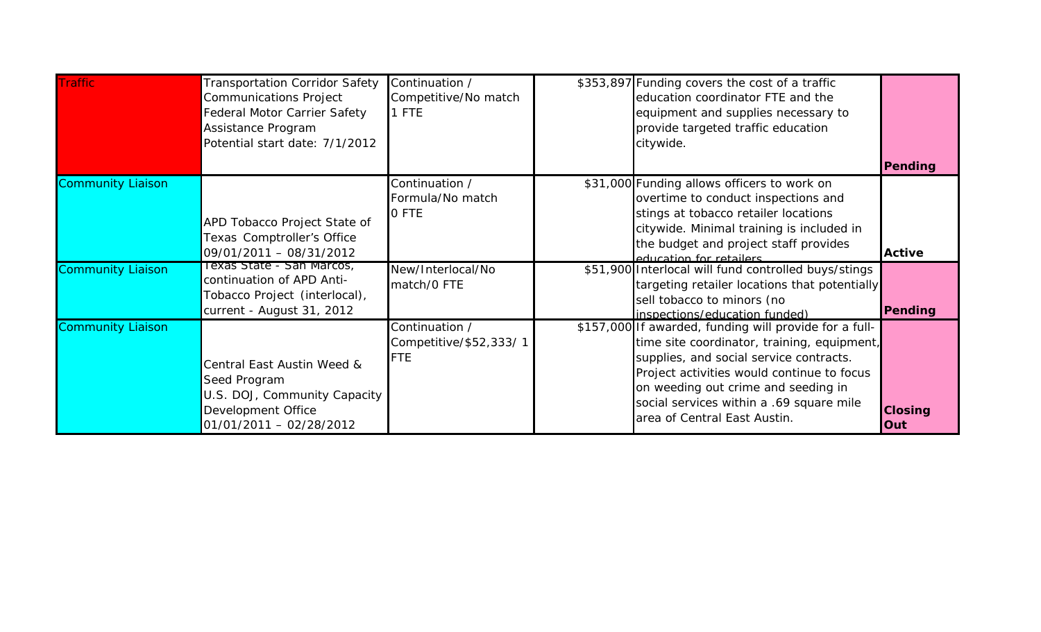| <b>Traffic</b>           | Transportation Corridor Safety<br>Communications Project<br>Federal Motor Carrier Safety<br>Assistance Program<br>Potential start date: 7/1/2012 | Continuation /<br>Competitive/No match<br>1 FTE        | \$353,897 Funding covers the cost of a traffic<br>education coordinator FTE and the<br>equipment and supplies necessary to<br>provide targeted traffic education<br>citywide.                                                                                                                                     |                       |
|--------------------------|--------------------------------------------------------------------------------------------------------------------------------------------------|--------------------------------------------------------|-------------------------------------------------------------------------------------------------------------------------------------------------------------------------------------------------------------------------------------------------------------------------------------------------------------------|-----------------------|
|                          |                                                                                                                                                  |                                                        |                                                                                                                                                                                                                                                                                                                   | Pending               |
| <b>Community Liaison</b> | APD Tobacco Project State of<br>Texas Comptroller's Office<br>09/01/2011 - 08/31/2012                                                            | Continuation /<br>Formula/No match<br>0 FTE            | \$31,000 Funding allows officers to work on<br>overtime to conduct inspections and<br>stings at tobacco retailer locations<br>citywide. Minimal training is included in<br>the budget and project staff provides<br>education for retailers                                                                       | <b>Active</b>         |
| <b>Community Liaison</b> | Texas State - San Marcos,<br>continuation of APD Anti-<br>Tobacco Project (interlocal),<br>current - August 31, 2012                             | New/Interlocal/No<br>match/0 FTE                       | \$51,900 Interlocal will fund controlled buys/stings<br>targeting retailer locations that potentially<br>sell tobacco to minors (no<br>inspections/education funded)                                                                                                                                              | Pending               |
| <b>Community Liaison</b> | Central East Austin Weed &<br>Seed Program<br>U.S. DOJ, Community Capacity<br>Development Office<br>01/01/2011 - 02/28/2012                      | Continuation /<br>Competitive/\$52,333/1<br><b>FTE</b> | \$157,000 If awarded, funding will provide for a full-<br>time site coordinator, training, equipment,<br>supplies, and social service contracts.<br>Project activities would continue to focus<br>on weeding out crime and seeding in<br>social services within a .69 square mile<br>area of Central East Austin. | <b>Closing</b><br>Out |